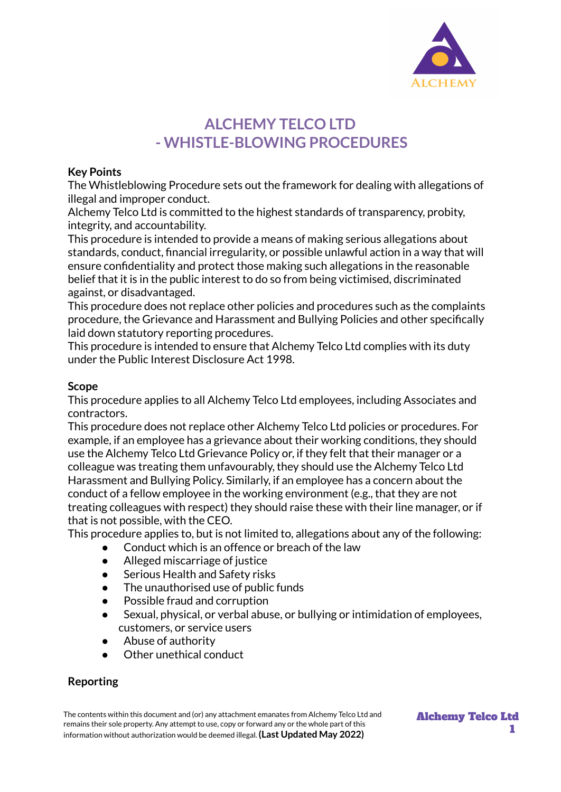

# **ALCHEMY TELCO LTD - WHISTLE-BLOWING PROCEDURES**

## **Key Points**

The Whistleblowing Procedure sets out the framework for dealing with allegations of illegal and improper conduct.

Alchemy Telco Ltd is committed to the highest standards of transparency, probity, integrity, and accountability.

This procedure is intended to provide a means of making serious allegations about standards, conduct, financial irregularity, or possible unlawful action in a way that will ensure confidentiality and protect those making such allegations in the reasonable belief that it is in the public interest to do so from being victimised, discriminated against, or disadvantaged.

This procedure does not replace other policies and procedures such as the complaints procedure, the Grievance and Harassment and Bullying Policies and other specifically laid down statutory reporting procedures.

This procedure is intended to ensure that Alchemy Telco Ltd complies with its duty under the Public Interest Disclosure Act 1998.

## **Scope**

This procedure applies to all Alchemy Telco Ltd employees, including Associates and contractors.

This procedure does not replace other Alchemy Telco Ltd policies or procedures. For example, if an employee has a grievance about their working conditions, they should use the Alchemy Telco Ltd Grievance Policy or, if they felt that their manager or a colleague was treating them unfavourably, they should use the Alchemy Telco Ltd Harassment and Bullying Policy. Similarly, if an employee has a concern about the conduct of a fellow employee in the working environment (e.g., that they are not treating colleagues with respect) they should raise these with their line manager, or if that is not possible, with the CEO.

This procedure applies to, but is not limited to, allegations about any of the following:

- Conduct which is an offence or breach of the law
- Alleged miscarriage of justice
- Serious Health and Safety risks
- The unauthorised use of public funds
- Possible fraud and corruption
- Sexual, physical, or verbal abuse, or bullying or intimidation of employees, customers, or service users
- Abuse of authority
- Other unethical conduct

# **Reporting**

The contents within this document and (or) any attachment emanates from Alchemy Telco Ltd and remains their sole property. Any attempt to use, copy or forward any or the whole part of this information without authorization would be deemed illegal. **(Last Updated May 2022)**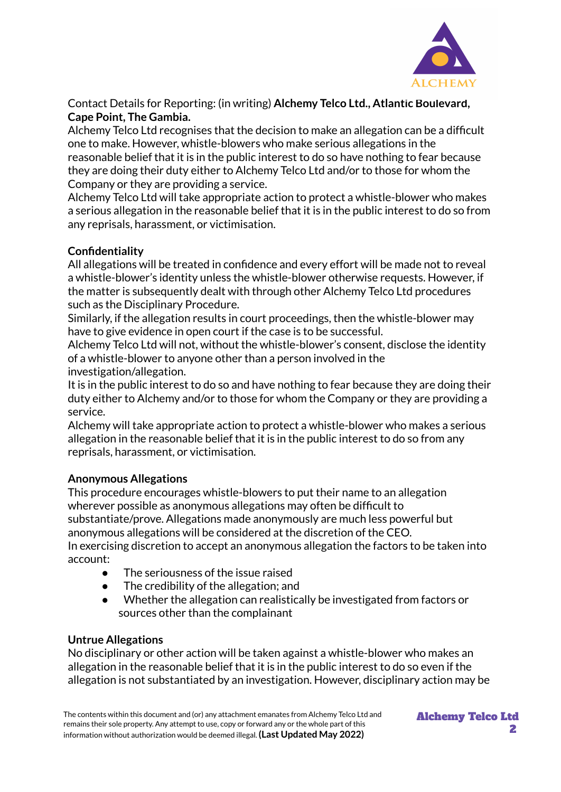

Contact Details for Reporting: (in writing) **Alchemy Telco Ltd., Atlantic Boulevard, Cape Point, The Gambia.**

Alchemy Telco Ltd recognises that the decision to make an allegation can be a difficult one to make. However, whistle-blowers who make serious allegations in the reasonable belief that it is in the public interest to do so have nothing to fear because they are doing their duty either to Alchemy Telco Ltd and/or to those for whom the Company or they are providing a service.

Alchemy Telco Ltd will take appropriate action to protect a whistle-blower who makes a serious allegation in the reasonable belief that it is in the public interest to do so from any reprisals, harassment, or victimisation.

# **Confidentiality**

All allegations will be treated in confidence and every effort will be made not to reveal a whistle-blower's identity unless the whistle-blower otherwise requests. However, if the matter is subsequently dealt with through other Alchemy Telco Ltd procedures such as the Disciplinary Procedure.

Similarly, if the allegation results in court proceedings, then the whistle-blower may have to give evidence in open court if the case is to be successful.

Alchemy Telco Ltd will not, without the whistle-blower's consent, disclose the identity of a whistle-blower to anyone other than a person involved in the investigation/allegation.

It is in the public interest to do so and have nothing to fear because they are doing their duty either to Alchemy and/or to those for whom the Company or they are providing a service.

Alchemy will take appropriate action to protect a whistle-blower who makes a serious allegation in the reasonable belief that it is in the public interest to do so from any reprisals, harassment, or victimisation.

## **Anonymous Allegations**

This procedure encourages whistle-blowers to put their name to an allegation wherever possible as anonymous allegations may often be difficult to substantiate/prove. Allegations made anonymously are much less powerful but anonymous allegations will be considered at the discretion of the CEO. In exercising discretion to accept an anonymous allegation the factors to be taken into account:

- The seriousness of the issue raised
- The credibility of the allegation; and
- Whether the allegation can realistically be investigated from factors or sources other than the complainant

# **Untrue Allegations**

No disciplinary or other action will be taken against a whistle-blower who makes an allegation in the reasonable belief that it is in the public interest to do so even if the allegation is not substantiated by an investigation. However, disciplinary action may be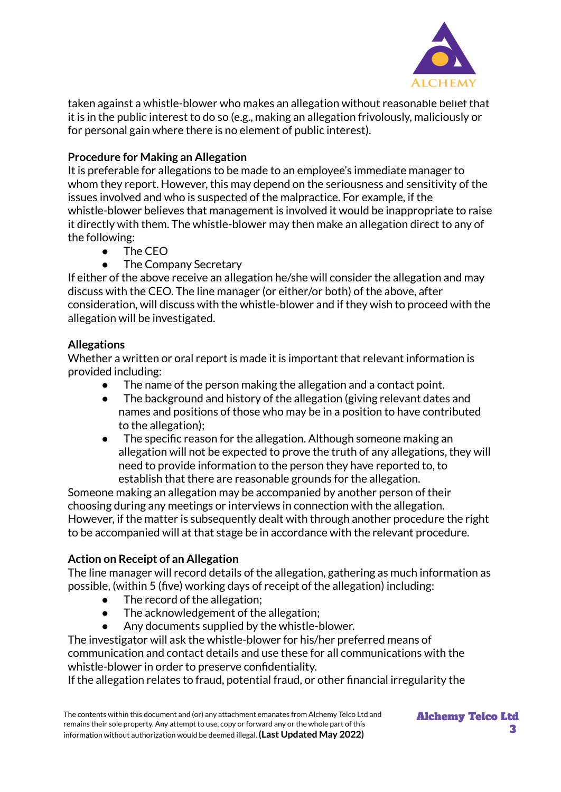

taken against a whistle-blower who makes an allegation without reasonable belief that it is in the public interest to do so (e.g., making an allegation frivolously, maliciously or for personal gain where there is no element of public interest).

# **Procedure for Making an Allegation**

It is preferable for allegations to be made to an employee's immediate manager to whom they report. However, this may depend on the seriousness and sensitivity of the issues involved and who is suspected of the malpractice. For example, if the whistle-blower believes that management is involved it would be inappropriate to raise it directly with them. The whistle-blower may then make an allegation direct to any of the following:

- The CEO
- The Company Secretary

If either of the above receive an allegation he/she will consider the allegation and may discuss with the CEO. The line manager (or either/or both) of the above, after consideration, will discuss with the whistle-blower and if they wish to proceed with the allegation will be investigated.

# **Allegations**

Whether a written or oral report is made it is important that relevant information is provided including:

- The name of the person making the allegation and a contact point.
- The background and history of the allegation (giving relevant dates and names and positions of those who may be in a position to have contributed to the allegation);
- The specific reason for the allegation. Although someone making an allegation will not be expected to prove the truth of any allegations, they will need to provide information to the person they have reported to, to establish that there are reasonable grounds for the allegation.

Someone making an allegation may be accompanied by another person of their choosing during any meetings or interviews in connection with the allegation. However, if the matter is subsequently dealt with through another procedure the right to be accompanied will at that stage be in accordance with the relevant procedure.

# **Action on Receipt of an Allegation**

The line manager will record details of the allegation, gathering as much information as possible, (within 5 (five) working days of receipt of the allegation) including:

- The record of the allegation;
- The acknowledgement of the allegation;
- Any documents supplied by the whistle-blower.

The investigator will ask the whistle-blower for his/her preferred means of communication and contact details and use these for all communications with the whistle-blower in order to preserve confidentiality.

If the allegation relates to fraud, potential fraud, or other financial irregularity the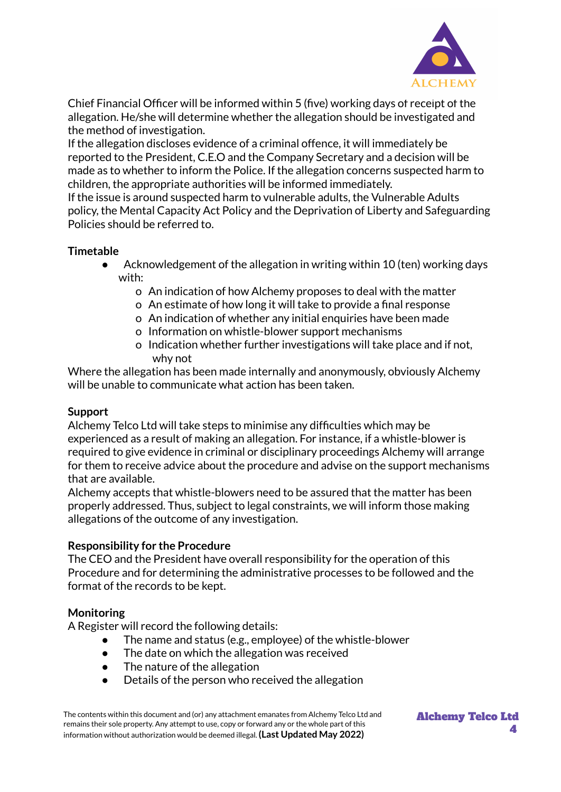

Chief Financial Officer will be informed within 5 (five) working days of receipt of the allegation. He/she will determine whether the allegation should be investigated and the method of investigation.

If the allegation discloses evidence of a criminal offence, it will immediately be reported to the President, C.E.O and the Company Secretary and a decision will be made as to whether to inform the Police. If the allegation concerns suspected harm to children, the appropriate authorities will be informed immediately.

If the issue is around suspected harm to vulnerable adults, the Vulnerable Adults policy, the Mental Capacity Act Policy and the Deprivation of Liberty and Safeguarding Policies should be referred to.

# **Timetable**

- Acknowledgement of the allegation in writing within 10 (ten) working days with:
	- o An indication of how Alchemy proposes to deal with the matter
	- o An estimate of how long it will take to provide a final response
	- o An indication of whether any initial enquiries have been made
	- o Information on whistle-blower support mechanisms
	- o Indication whether further investigations will take place and if not, why not

Where the allegation has been made internally and anonymously, obviously Alchemy will be unable to communicate what action has been taken.

## **Support**

Alchemy Telco Ltd will take steps to minimise any difficulties which may be experienced as a result of making an allegation. For instance, if a whistle-blower is required to give evidence in criminal or disciplinary proceedings Alchemy will arrange for them to receive advice about the procedure and advise on the support mechanisms that are available.

Alchemy accepts that whistle-blowers need to be assured that the matter has been properly addressed. Thus, subject to legal constraints, we will inform those making allegations of the outcome of any investigation.

## **Responsibility for the Procedure**

The CEO and the President have overall responsibility for the operation of this Procedure and for determining the administrative processes to be followed and the format of the records to be kept.

## **Monitoring**

A Register will record the following details:

- The name and status (e.g., employee) of the whistle-blower
- The date on which the allegation was received
- The nature of the allegation
- Details of the person who received the allegation

The contents within this document and (or) any attachment emanates from Alchemy Telco Ltd and remains their sole property. Any attempt to use, copy or forward any or the whole part of this information without authorization would be deemed illegal. **(Last Updated May 2022)**